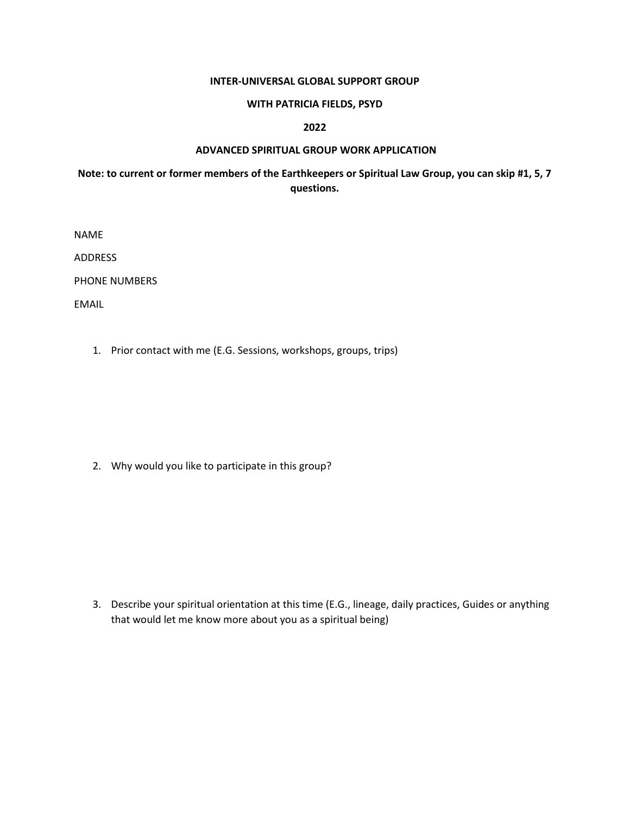#### **INTER-UNIVERSAL GLOBAL SUPPORT GROUP**

## **WITH PATRICIA FIELDS, PSYD**

# **2022**

# **ADVANCED SPIRITUAL GROUP WORK APPLICATION**

# **Note: to current or former members of the Earthkeepers or Spiritual Law Group, you can skip #1, 5, 7 questions.**

NAME

ADDRESS

PHONE NUMBERS

EMAIL

1. Prior contact with me (E.G. Sessions, workshops, groups, trips)

2. Why would you like to participate in this group?

3. Describe your spiritual orientation at this time (E.G., lineage, daily practices, Guides or anything that would let me know more about you as a spiritual being)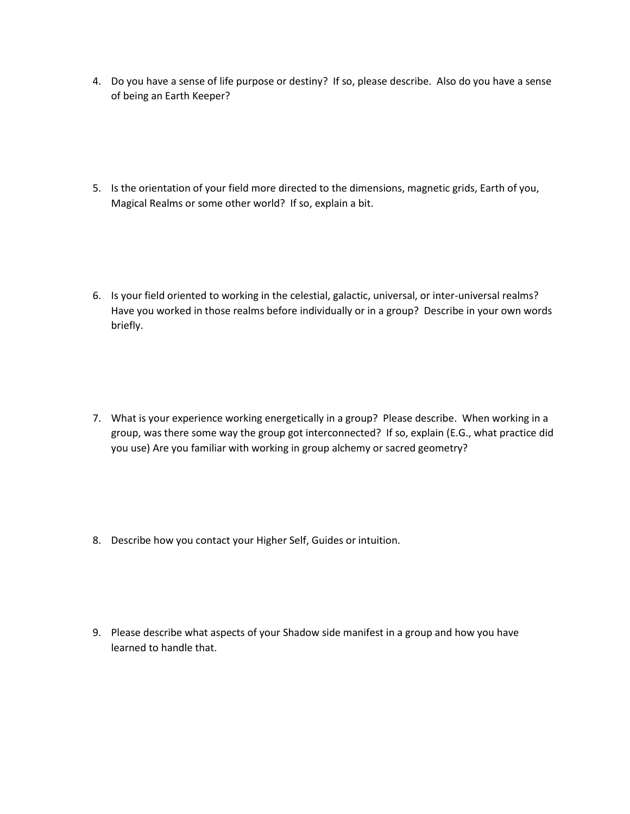- 4. Do you have a sense of life purpose or destiny? If so, please describe. Also do you have a sense of being an Earth Keeper?
- 5. Is the orientation of your field more directed to the dimensions, magnetic grids, Earth of you, Magical Realms or some other world? If so, explain a bit.
- 6. Is your field oriented to working in the celestial, galactic, universal, or inter-universal realms? Have you worked in those realms before individually or in a group? Describe in your own words briefly.
- 7. What is your experience working energetically in a group? Please describe. When working in a group, was there some way the group got interconnected? If so, explain (E.G., what practice did you use) Are you familiar with working in group alchemy or sacred geometry?
- 8. Describe how you contact your Higher Self, Guides or intuition.
- 9. Please describe what aspects of your Shadow side manifest in a group and how you have learned to handle that.